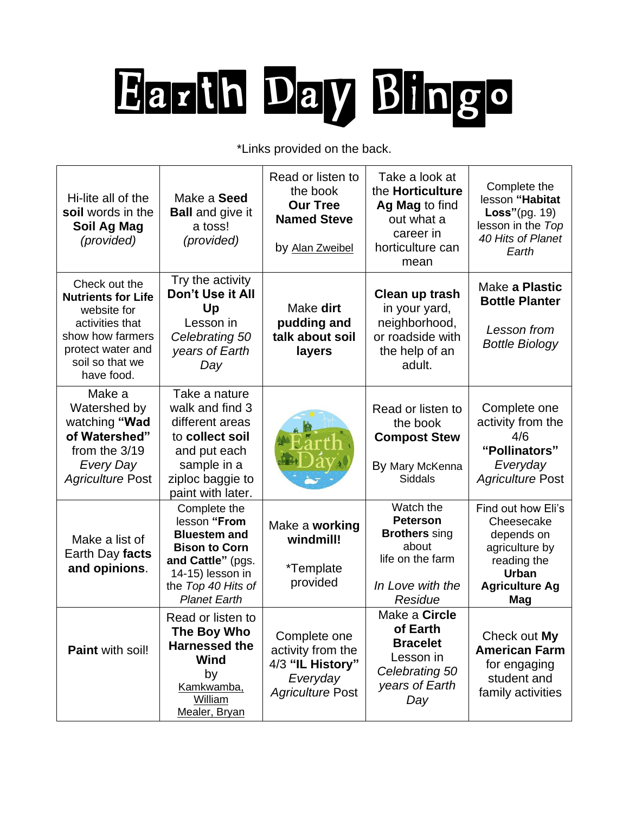# Earth Day Bingo

\*Links provided on the back.

| Hi-lite all of the<br>soil words in the<br>Soil Ag Mag<br>(provided)                                                                                   | Make a Seed<br><b>Ball</b> and give it<br>a toss!<br>(provided)                                                                                                   | Read or listen to<br>the book<br><b>Our Tree</b><br><b>Named Steve</b><br>by Alan Zweibel    | Take a look at<br>the Horticulture<br>Ag Mag to find<br>out what a<br>career in<br>horticulture can<br>mean      | Complete the<br>lesson "Habitat<br>Loss" $(pg. 19)$<br>lesson in the Top<br>40 Hits of Planet<br>Earth                          |
|--------------------------------------------------------------------------------------------------------------------------------------------------------|-------------------------------------------------------------------------------------------------------------------------------------------------------------------|----------------------------------------------------------------------------------------------|------------------------------------------------------------------------------------------------------------------|---------------------------------------------------------------------------------------------------------------------------------|
| Check out the<br><b>Nutrients for Life</b><br>website for<br>activities that<br>show how farmers<br>protect water and<br>soil so that we<br>have food. | Try the activity<br>Don't Use it All<br>Up<br>Lesson in<br>Celebrating 50<br>years of Earth<br>Day                                                                | Make dirt<br>pudding and<br>talk about soil<br>layers                                        | Clean up trash<br>in your yard,<br>neighborhood,<br>or roadside with<br>the help of an<br>adult.                 | Make a Plastic<br><b>Bottle Planter</b><br>Lesson from<br><b>Bottle Biology</b>                                                 |
| Make a<br>Watershed by<br>watching "Wad<br>of Watershed"<br>from the 3/19<br>Every Day<br><b>Agriculture Post</b>                                      | Take a nature<br>walk and find 3<br>different areas<br>to collect soil<br>and put each<br>sample in a<br>ziploc baggie to<br>paint with later.                    |                                                                                              | Read or listen to<br>the book<br><b>Compost Stew</b><br>By Mary McKenna<br><b>Siddals</b>                        | Complete one<br>activity from the<br>4/6<br>"Pollinators"<br>Everyday<br><b>Agriculture Post</b>                                |
| Make a list of<br>Earth Day facts<br>and opinions.                                                                                                     | Complete the<br>lesson "From<br><b>Bluestem and</b><br><b>Bison to Corn</b><br>and Cattle" (pgs.<br>14-15) lesson in<br>the Top 40 Hits of<br><b>Planet Earth</b> | Make a working<br>windmill!<br>*Template<br>provided                                         | Watch the<br><b>Peterson</b><br><b>Brothers</b> sing<br>about<br>life on the farm<br>In Love with the<br>Residue | Find out how Eli's<br>Cheesecake<br>depends on<br>agriculture by<br>reading the<br><b>Urban</b><br><b>Agriculture Ag</b><br>Mag |
| <b>Paint with soil!</b>                                                                                                                                | Read or listen to<br>The Boy Who<br><b>Harnessed the</b><br><b>Wind</b><br>by<br>Kamkwamba,<br>William<br>Mealer, Bryan                                           | Complete one<br>activity from the<br>4/3 "IL History"<br>Everyday<br><b>Agriculture Post</b> | Make a Circle<br>of Earth<br><b>Bracelet</b><br>Lesson in<br>Celebrating 50<br>years of Earth<br>Day             | Check out My<br><b>American Farm</b><br>for engaging<br>student and<br>family activities                                        |